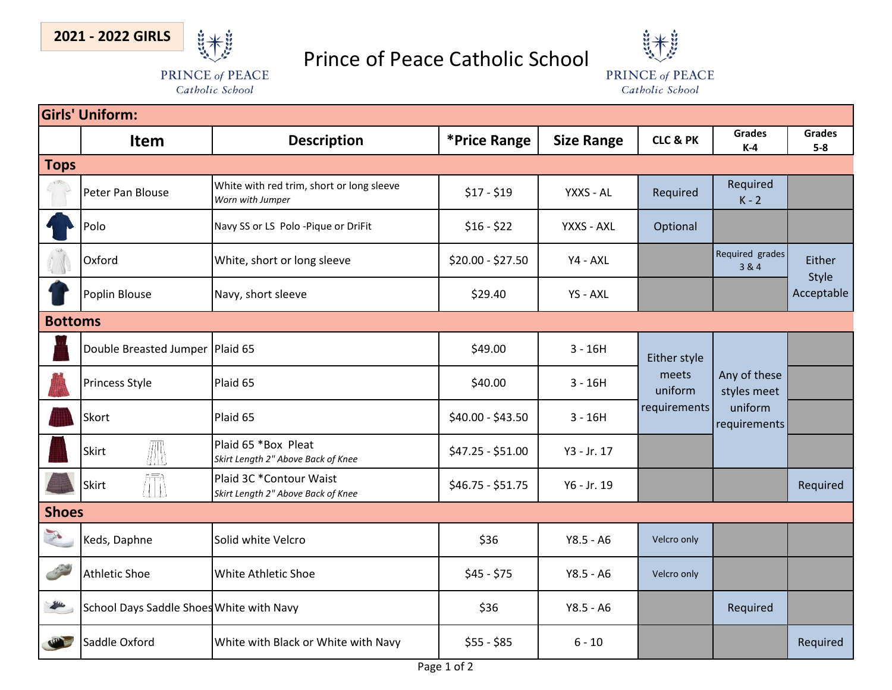

## Prince of Peace Catholic School

PRINCE of PEACE Catholic School



| <b>Girls' Uniform:</b>                                                                                                                                                                                                                                                                                                                                                                       |                                          |                                                               |                   |                   |                                                  |                                                        |                        |  |  |  |  |
|----------------------------------------------------------------------------------------------------------------------------------------------------------------------------------------------------------------------------------------------------------------------------------------------------------------------------------------------------------------------------------------------|------------------------------------------|---------------------------------------------------------------|-------------------|-------------------|--------------------------------------------------|--------------------------------------------------------|------------------------|--|--|--|--|
|                                                                                                                                                                                                                                                                                                                                                                                              | Item                                     | <b>Description</b>                                            | *Price Range      | <b>Size Range</b> | <b>CLC &amp; PK</b>                              | <b>Grades</b><br>$K-4$                                 | <b>Grades</b><br>$5-8$ |  |  |  |  |
| <b>Tops</b>                                                                                                                                                                                                                                                                                                                                                                                  |                                          |                                                               |                   |                   |                                                  |                                                        |                        |  |  |  |  |
|                                                                                                                                                                                                                                                                                                                                                                                              | Peter Pan Blouse                         | White with red trim, short or long sleeve<br>Worn with Jumper | $$17 - $19$       | YXXS - AL         | Required                                         | Required<br>$K - 2$                                    |                        |  |  |  |  |
|                                                                                                                                                                                                                                                                                                                                                                                              | Polo                                     | Navy SS or LS Polo -Pique or DriFit                           | $$16 - $22$       | YXXS - AXL        | Optional                                         |                                                        |                        |  |  |  |  |
|                                                                                                                                                                                                                                                                                                                                                                                              | Oxford                                   | White, short or long sleeve                                   | \$20.00 - \$27.50 | Y4 - AXL          |                                                  | Required grades<br>3 & 4                               | Either<br>Style        |  |  |  |  |
|                                                                                                                                                                                                                                                                                                                                                                                              | Poplin Blouse                            | Navy, short sleeve                                            | \$29.40           | YS - AXL          |                                                  |                                                        | Acceptable             |  |  |  |  |
| <b>Bottoms</b>                                                                                                                                                                                                                                                                                                                                                                               |                                          |                                                               |                   |                   |                                                  |                                                        |                        |  |  |  |  |
|                                                                                                                                                                                                                                                                                                                                                                                              | Double Breasted Jumper   Plaid 65        |                                                               | \$49.00           | $3 - 16H$         | Either style<br>meets<br>uniform<br>requirements | Any of these<br>styles meet<br>uniform<br>requirements |                        |  |  |  |  |
|                                                                                                                                                                                                                                                                                                                                                                                              | Princess Style                           | Plaid 65                                                      | \$40.00           | $3 - 16H$         |                                                  |                                                        |                        |  |  |  |  |
|                                                                                                                                                                                                                                                                                                                                                                                              | Skort                                    | Plaid 65                                                      | \$40.00 - \$43.50 | $3 - 16H$         |                                                  |                                                        |                        |  |  |  |  |
|                                                                                                                                                                                                                                                                                                                                                                                              | M<br>Skirt                               | Plaid 65 *Box Pleat<br>Skirt Length 2" Above Back of Knee     | \$47.25 - \$51.00 | Y3 - Jr. 17       |                                                  |                                                        |                        |  |  |  |  |
|                                                                                                                                                                                                                                                                                                                                                                                              | Skirt                                    | Plaid 3C *Contour Waist<br>Skirt Length 2" Above Back of Knee | $$46.75 - $51.75$ | Y6 - Jr. 19       |                                                  |                                                        | Required               |  |  |  |  |
| <b>Shoes</b>                                                                                                                                                                                                                                                                                                                                                                                 |                                          |                                                               |                   |                   |                                                  |                                                        |                        |  |  |  |  |
| X                                                                                                                                                                                                                                                                                                                                                                                            | Keds, Daphne                             | Solid white Velcro                                            | \$36              | $Y8.5 - A6$       | Velcro only                                      |                                                        |                        |  |  |  |  |
|                                                                                                                                                                                                                                                                                                                                                                                              | <b>Athletic Shoe</b>                     | White Athletic Shoe                                           | $$45 - $75$       | $Y8.5 - A6$       | Velcro only                                      |                                                        |                        |  |  |  |  |
| $\frac{1}{2} \frac{1}{2} \frac{1}{2} \frac{1}{2} \frac{1}{2} \frac{1}{2} \frac{1}{2} \frac{1}{2} \frac{1}{2} \frac{1}{2} \frac{1}{2} \frac{1}{2} \frac{1}{2} \frac{1}{2} \frac{1}{2} \frac{1}{2} \frac{1}{2} \frac{1}{2} \frac{1}{2} \frac{1}{2} \frac{1}{2} \frac{1}{2} \frac{1}{2} \frac{1}{2} \frac{1}{2} \frac{1}{2} \frac{1}{2} \frac{1}{2} \frac{1}{2} \frac{1}{2} \frac{1}{2} \frac{$ | School Days Saddle Shoes White with Navy |                                                               | \$36              | $Y8.5 - A6$       |                                                  | Required                                               |                        |  |  |  |  |
|                                                                                                                                                                                                                                                                                                                                                                                              | saddle Oxford                            | White with Black or White with Navy                           | $$55 - $85$       | $6 - 10$          |                                                  |                                                        | Required               |  |  |  |  |